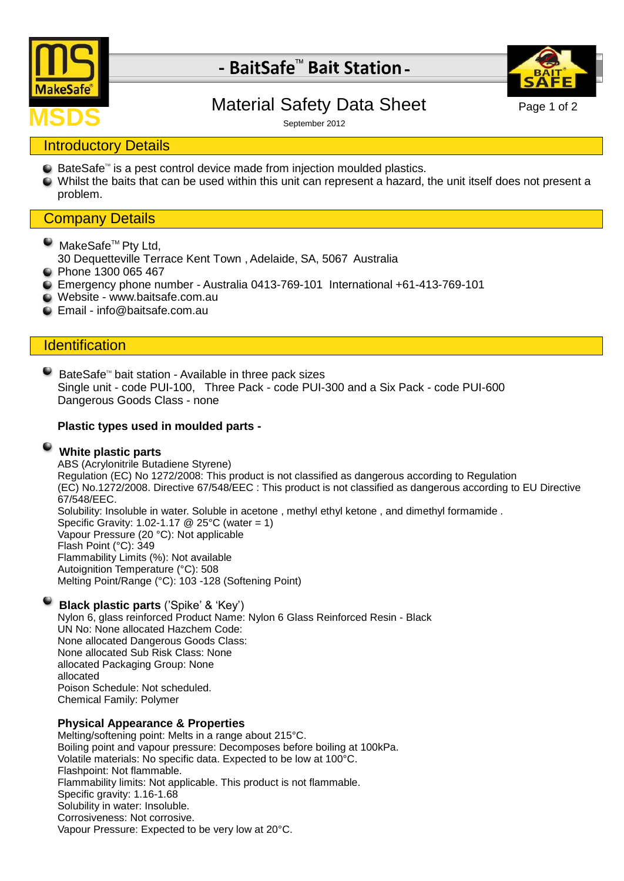

# - BaitSafe<sup>™</sup> Bait Station -



# **MSDS** Material Safety Data Sheet Page 1 of 2<br>
September 2012

September 2012

# Introductory Details

- $\bullet$  BateSafe<sup> $m$ </sup> is a pest control device made from injection moulded plastics.
- Whilst the baits that can be used within this unit can represent a hazard, the unit itself does not present a problem.

# Company Details

- MakeSafe<sup>™</sup> Pty Ltd,
	- 30 Dequetteville Terrace Kent Town , Adelaide, SA, 5067 Australia
- **Phone 1300 065 467**
- Emergency phone number Australia 0413-769-101 International +61-413-769-101
- Website [www.baitsafe.com.au](http://www.baitsafe.com.au/)
- Email [info@baitsafe.com.au](mailto:info@baitsafe.com.au)

# **Identification**

BateSafe<sup>™</sup> bait station - Available in three pack sizes Single unit - code PUI-100, Three Pack - code PUI-300 and a Six Pack - code PUI-600 Dangerous Goods Class - none

#### **Plastic types used in moulded parts -**

#### **White plastic parts**

ABS (Acrylonitrile Butadiene Styrene) Regulation (EC) No 1272/2008: This product is not classified as dangerous according to Regulation (EC) No.1272/2008. Directive 67/548/EEC : This product is not classified as dangerous according to EU Directive 67/548/EEC. Solubility: Insoluble in water. Soluble in acetone , methyl ethyl ketone , and dimethyl formamide . Specific Gravity: 1.02-1.17 @ 25°C (water = 1) Vapour Pressure (20 °C): Not applicable Flash Point (°C): 349 Flammability Limits (%): Not available Autoignition Temperature (°C): 508 Melting Point/Range (°C): 103 -128 (Softening Point)

## **Black plastic parts** ('Spike' & 'Key')

Nylon 6, glass reinforced Product Name: Nylon 6 Glass Reinforced Resin - Black UN No: None allocated Hazchem Code: None allocated Dangerous Goods Class: None allocated Sub Risk Class: None allocated Packaging Group: None allocated Poison Schedule: Not scheduled. Chemical Family: Polymer

## **Physical Appearance & Properties**

Melting/softening point: Melts in a range about 215°C. Boiling point and vapour pressure: Decomposes before boiling at 100kPa. Volatile materials: No specific data. Expected to be low at 100°C. Flashpoint: Not flammable. Flammability limits: Not applicable. This product is not flammable. Specific gravity: 1.16-1.68 Solubility in water: Insoluble. Corrosiveness: Not corrosive. Vapour Pressure: Expected to be very low at 20°C.